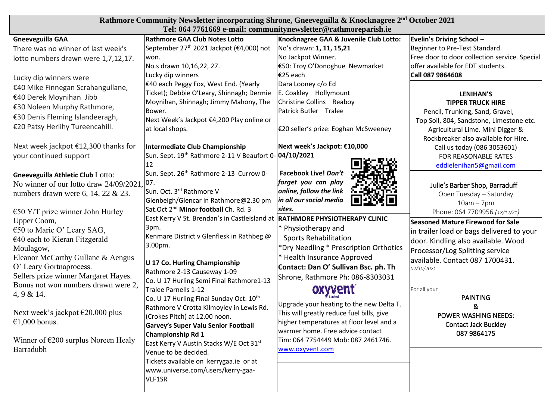| Rathmore Community Newsletter incorporating Shrone, Gneeveguilla & Knocknagree 2 <sup>nd</sup> October 2021<br>Tel: 064 7761669 e-mail: communitynewsletter@rathmoreparish.ie |                                                                    |                                           |                                               |  |
|-------------------------------------------------------------------------------------------------------------------------------------------------------------------------------|--------------------------------------------------------------------|-------------------------------------------|-----------------------------------------------|--|
| <b>Gneeveguilla GAA</b>                                                                                                                                                       | <b>Rathmore GAA Club Notes Lotto</b>                               | Knocknagree GAA & Juvenile Club Lotto:    | Evelin's Driving School -                     |  |
| There was no winner of last week's                                                                                                                                            | September 27 <sup>th</sup> 2021 Jackpot (€4,000) not               | No's drawn: 1, 11, 15,21                  | Beginner to Pre-Test Standard.                |  |
| lotto numbers drawn were 1,7,12,17.                                                                                                                                           | won.                                                               | No Jackpot Winner.                        | Free door to door collection service. Special |  |
|                                                                                                                                                                               | No.s drawn 10,16,22, 27.                                           | €50: Troy O'Donoghue Newmarket            | offer available for EDT students.             |  |
| Lucky dip winners were                                                                                                                                                        | Lucky dip winners                                                  | €25 each                                  | Call 087 9864608                              |  |
| €40 Mike Finnegan Scrahangullane,                                                                                                                                             | €40 each Peggy Fox, West End. (Yearly                              | Dara Looney c/o Ed                        |                                               |  |
| €40 Derek Moynihan Jibb                                                                                                                                                       | Ticket); Debbie O'Leary, Shinnagh; Dermie                          | E. Coakley Hollymount                     | <b>LENIHAN'S</b>                              |  |
|                                                                                                                                                                               | Moynihan, Shinnagh; Jimmy Mahony, The                              | Christine Collins Reaboy                  | <b>TIPPER TRUCK HIRE</b>                      |  |
| €30 Noleen Murphy Rathmore,                                                                                                                                                   | Bower.                                                             | Patrick Butler Tralee                     | Pencil, Trunking, Sand, Gravel,               |  |
| €30 Denis Fleming Islandeeragh,                                                                                                                                               | Next Week's Jackpot €4,200 Play online or                          |                                           | Top Soil, 804, Sandstone, Limestone etc.      |  |
| €20 Patsy Herlihy Tureencahill.                                                                                                                                               | at local shops.                                                    | €20 seller's prize: Eoghan McSweeney      | Agricultural Lime. Mini Digger &              |  |
|                                                                                                                                                                               |                                                                    |                                           | Rockbreaker also available for Hire.          |  |
| Next week jackpot €12,300 thanks for                                                                                                                                          | Intermediate Club Championship                                     | Next week's Jackpot: €10,000              | Call us today (086 3053601)                   |  |
| your continued support                                                                                                                                                        | Sun. Sept. 19 <sup>th</sup> Rathmore 2-11 V Beaufort 0- 04/10/2021 |                                           | FOR REASONABLE RATES                          |  |
|                                                                                                                                                                               | 12                                                                 |                                           | eddielenihan5@gmail.com                       |  |
| <b>Gneeveguilla Athletic Club Lotto:</b>                                                                                                                                      | Sun. Sept. 26 <sup>th</sup> Rathmore 2-13 Currow 0-                | Facebook Live! Don't                      |                                               |  |
| No winner of our lotto draw 24/09/2021                                                                                                                                        | 07.                                                                | forget you can play                       | Julie's Barber Shop, Barraduff                |  |
| numbers drawn were 6, 14, 22 $\&$ 23.                                                                                                                                         | Sun. Oct. 3 <sup>rd</sup> Rathmore V                               | online, follow the link                   | Open Tuesday - Saturday                       |  |
|                                                                                                                                                                               | Glenbeigh/Glencar in Rathmore@2.30 pm                              | in all our social media                   | $10am - 7pm$                                  |  |
| $\epsilon$ 50 Y/T prize winner John Hurley                                                                                                                                    | Sat.Oct 2 <sup>nd</sup> Minor football Ch. Rd. 3                   | sites.                                    | Phone: 064 7709956 (18/12/21)                 |  |
| Upper Coom,                                                                                                                                                                   | East Kerry V St. Brendan's in Castleisland at                      | <b>RATHMORE PHYSIOTHERAPY CLINIC</b>      | <b>Seasoned Mature Firewood for Sale</b>      |  |
| €50 to Marie O' Leary SAG,                                                                                                                                                    | 3pm.                                                               | * Physiotherapy and                       | in trailer load or bags delivered to your     |  |
| $€40$ each to Kieran Fitzgerald                                                                                                                                               | Kenmare District v Glenflesk in Rathbeg @                          | <b>Sports Rehabilitation</b>              | door. Kindling also available. Wood           |  |
| Moulagow,                                                                                                                                                                     | 3.00pm.                                                            | *Dry Needling * Prescription Orthotics    | Processor/Log Splitting service               |  |
| Eleanor McCarthy Gullane & Aengus                                                                                                                                             |                                                                    | * Health Insurance Approved               | available. Contact 087 1700431.               |  |
| O' Leary Gortnaprocess.                                                                                                                                                       | U 17 Co. Hurling Championship                                      | Contact: Dan O' Sullivan Bsc. ph. Th      | 02/10/2021                                    |  |
| Sellers prize winner Margaret Hayes.                                                                                                                                          | Rathmore 2-13 Causeway 1-09                                        | Shrone, Rathmore Ph: 086-8303031          |                                               |  |
| Bonus not won numbers drawn were 2,                                                                                                                                           | Co. U 17 Hurling Semi Final Rathmore1-13                           |                                           |                                               |  |
| 4, 9 & 14.                                                                                                                                                                    | Tralee Parnells 1-12                                               |                                           | For all your<br><b>PAINTING</b>               |  |
|                                                                                                                                                                               | Co. U 17 Hurling Final Sunday Oct. 10th                            | Upgrade your heating to the new Delta T.  |                                               |  |
| Next week's jackpot €20,000 plus                                                                                                                                              | Rathmore V Crotta Kilmoyley in Lewis Rd.                           | This will greatly reduce fuel bills, give | &<br><b>POWER WASHING NEEDS:</b>              |  |
| €1,000 bonus.                                                                                                                                                                 | (Crokes Pitch) at 12.00 noon.                                      | higher temperatures at floor level and a  | <b>Contact Jack Buckley</b>                   |  |
|                                                                                                                                                                               | <b>Garvey's Super Valu Senior Football</b>                         | warmer home. Free advice contact          | 087 9864175                                   |  |
| Winner of $\epsilon$ 200 surplus Noreen Healy                                                                                                                                 | Championship Rd 1                                                  | Tim: 064 7754449 Mob: 087 2461746.        |                                               |  |
| Barradubh                                                                                                                                                                     | East Kerry V Austin Stacks W/E Oct 31 <sup>st</sup>                | www.oxyvent.com                           |                                               |  |
|                                                                                                                                                                               | Venue to be decided.<br>Tickets available on kerrygaa.ie or at     |                                           |                                               |  |
|                                                                                                                                                                               | www.universe.com/users/kerry-gaa-                                  |                                           |                                               |  |
|                                                                                                                                                                               | VLF1SR                                                             |                                           |                                               |  |
|                                                                                                                                                                               |                                                                    |                                           |                                               |  |
|                                                                                                                                                                               |                                                                    |                                           |                                               |  |